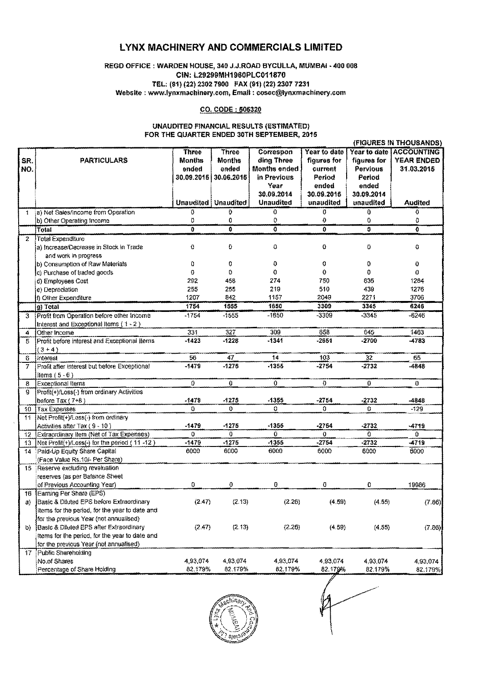# LYNX MACHINERY AND COMMERCIALS LIMITED

## REGD OFFICE: WARDEN HOUSE, 340 J.J.ROAD BYCULLA, MUMBAI - 400 008 CIN: L29299MH1960PLC011870 TEL: (91)(22) 2302 7900 FAX (91)(22) 23077231 Website; www.lynxmachinery.com. Email: cosec@lynxmachinery.com

### CO. CODE: 506320

#### UNAUDITED FINANCIAL RESULTS (ESTIMATED) FOR THE QUARTER ENDED 30TH SEPTEMBER, 2015

|     |                                                |               |                              |                  |              |              | (FIGURES IN THOUSANDS) |
|-----|------------------------------------------------|---------------|------------------------------|------------------|--------------|--------------|------------------------|
|     |                                                | <b>Three</b>  | <b>Three</b>                 | Correspon        | Year to date | Year to date | <b>ACCOUNTING</b>      |
| SR. | <b>PARTICULARS</b>                             | <b>Months</b> | <b>Months</b>                | ding Three       | figures for  | figures for  | YEAR ENDED             |
| NO. |                                                | ended         | ended                        | Months ended     | current      | Pervious     | 31.03.2015             |
|     |                                                | 30.09.2015    | 30.06.2015                   | in Previous      | Period       | Period       |                        |
|     |                                                |               |                              | Year             | ended        | ended        |                        |
|     |                                                |               |                              | 30.09.2014       | 30.09.2015   | 30.09.2014   |                        |
|     |                                                |               | <b>Unaudited   Unaudited</b> | <b>Unaudited</b> | unaudited    | unaudited    | <b>Audited</b>         |
| 1   | a) Net Sales/Income from Operation             | Đ             | 0                            | 0                | 0            | 0            | 0                      |
|     | b) Other Operating Income                      | 0             | 0                            | 0                | $\mathbf{0}$ | 0            | 0                      |
|     | <b>Total</b>                                   | ō             | Ō                            | ō                | 0            | Ø.           | $\mathbf{G}$           |
| 2   | <b>Total Expenditure</b>                       |               |                              |                  |              |              |                        |
|     | a) Increase/Decrease in Stock in Trade         | 0             | Ö                            | 0                | 0            | 0            | 0                      |
|     | and work in progress                           |               |                              |                  |              |              |                        |
|     | b) Consumption of Raw Materials                | 0             | 0                            | 0                | 0            | 0            | 0                      |
|     | c) Purchase of traded goods                    | 0             | 0                            | O                | 0            | 0            | 0                      |
|     | d) Employees Cost                              | 292           | 456                          | 274              | 750          | 635          | 1264                   |
|     | e) Depreciation                                | 255           | 255                          | 219              | 510          | 439          | 1276                   |
|     | f) Other Expenditure                           | 1207          | 842                          | 1157             | 2049         | 2271         | 3706                   |
|     | g) Total                                       | 1754          | 1555                         | 1650             | 3309         | 3345         | 6246                   |
| 3   | Profit from Operation before other Income      | $-1754$       | $-1555$                      | $-1650$          | -3309        | $-3345$      | $-6246$                |
|     | Interest and Exceptional Items (1 - 2)         |               |                              |                  |              |              |                        |
| 4   | Other Income                                   | 331           | 327                          | 309              | 658          | 645          | 1463                   |
| 5   | Profit before interest and Exceptional Items   | $-1423$       | $-1228$                      | $-1341$          | -2651        | $-2700$      | -4783                  |
|     | $(3 - 4)$                                      |               |                              |                  |              |              |                        |
| 6   | Interest                                       | 56            | 47                           | 14               | 103          | 32           | 65                     |
| 7   | Profit after interest but before Exceptional   | $-1479$       | $-1275$                      | -1355            | $-2754$      | $-2732$      | $-4848$                |
|     | Items $(5 - 6)$                                |               |                              |                  |              |              |                        |
| 8   | Exceptional Items                              | 0             | 0                            | 0                | Ū            | $\bf{0}$     | $\mathbf{0}$           |
| a   | Profit(+)/Loss(-) from ordinary Activities     |               |                              |                  |              |              |                        |
|     | before Tax (7+8)                               | $-1479$       | $-1275$                      | $-1355$          | $-2754$      | $-2732$      | -4848                  |
| 10  | <b>Tax Expenses</b>                            | 0             | $\mathbf{0}$                 | 0                | 0            | 0            | $-129$                 |
| 11  | Net Profit(+)/Loss(-) from ordinary            |               |                              |                  |              |              |                        |
|     | Activities after Tax (9 - 10)                  | $-1479$       | $-1275$                      | -1355            | $-2754$      | $-2732$      | $-4719$                |
| 12  | Extraordinary Item (Net of Tax Expenses)       | 0             | O                            | 0                | $\mathbf 0$  | 0            | 0.                     |
| 13  | Net Profit(+)/Loss(-) for the period (11-12)   | $-1479$       | $-1275$                      | $-1355$          | $-2754$      | $-2732$      | $-4719$                |
| 14  | Paid-Up Equity Share Capital                   | 6000          | 6000                         | 6000             | 6000         | 6000         | 6000                   |
|     | (Face Value Rs. 10/- Per Share)                |               |                              |                  |              |              |                        |
| 15  | Reserve excluding revaluation                  |               |                              |                  |              |              |                        |
|     | reserves (as per Balance Sheet                 |               |                              |                  |              |              |                        |
|     | of Previous Accounting Year)                   | 0             | 0                            | 0                | 0            | 0            | 19986                  |
| 16  | Earning Per Share (EPS)                        |               |                              |                  |              |              |                        |
| a)  | Basic & Diluted EPS before Extraordinary       | (2.47)        | (2.13)                       | (2.26)           | (4.59)       | (4.55)       | (7.86)                 |
|     | Items for the period, for the year to date and |               |                              |                  |              |              |                        |
|     | for the previous Year (not annualised)         |               |                              |                  |              |              |                        |
| b)  | Basic & Diluted EPS after Extraordinary        | (2.47)        | (2.13)                       | (2.26)           | (4.59)       | (4.55)       | (7.86)                 |
|     | Items for the period, for the year to date and |               |                              |                  |              |              |                        |
|     | for the previous Year (not annualised)         |               |                              |                  |              |              |                        |
| 17  | Public Shareholding                            |               |                              |                  |              |              |                        |
|     | No.of Shares                                   | 4,93,074      | 4,93,074                     | 4,93,074         | 4,93,074     | 4,93,074     | 4,93,074               |
|     | Percentage of Share Holding                    | 82.179%       | 82.179%                      | 82.179%          | 82.179%      | 82.179%      | 82.179%                |
|     |                                                |               |                              |                  |              |              |                        |



I  $\begin{picture}(100,100) \put(0,0){\vector(1,0){100}} \put(10,0){\vector(1,0){100}} \put(10,0){\vector(1,0){100}} \put(10,0){\vector(1,0){100}} \put(10,0){\vector(1,0){100}} \put(10,0){\vector(1,0){100}} \put(10,0){\vector(1,0){100}} \put(10,0){\vector(1,0){100}} \put(10,0){\vector(1,0){100}} \put(10,0){\vector(1,0){100}} \put(10,0){\vector(1,0){100$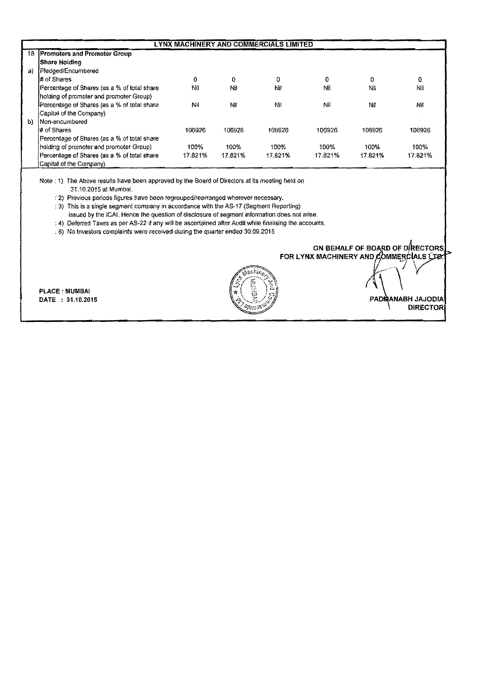|    | LYNX MACHINERY AND COMMERCIALS LIMITED      |         |         |         |         |         |         |
|----|---------------------------------------------|---------|---------|---------|---------|---------|---------|
|    | 18 Promoters and Promoter Group             |         |         |         |         |         |         |
|    | <b>Share Holding</b>                        |         |         |         |         |         |         |
| aì | Pledged/Encumbered                          |         |         |         |         |         |         |
|    | # of Shares                                 | 0       | 0       | 0       | o       | O       | 0       |
|    | Percentage of Shares (as a % of total share | Nil     | ΝIΙ     | Nit     | Nil     | Nii     | NШ      |
|    | holding of promoter and promoter Group)     |         |         |         |         |         |         |
|    | Percentage of Shares (as a % of total share | NI      | NĦ      | Νiί     | Nii     | Νi      | Ni      |
|    | Capital of the Company)                     |         |         |         |         |         |         |
| b) | Non-encumbered                              |         |         |         |         |         |         |
|    | # of Shares                                 | 106926  | 106926  | 106926  | 106926  | 106926  | 106926  |
|    | Percentage of Shares (as a % of total share |         |         |         |         |         |         |
|    | holding of promoter and promoter Group)     | 100%    | 100%    | 100%    | 100%    | 100%    | 100%    |
|    | Percentage of Shares (as a % of total share | 17.821% | 17.821% | 17.821% | 17.821% | 17.821% | 17.821% |
|    | (Capital of the Company)                    |         |         |         |         |         |         |

Note: 1) The Above results have been approved by the Board of Directors at Its meeting held on 31.10.2015 at Mumbai.

: 2) Previous periods figures have been regrouped/rearranged wherever necessary.

; 3) This Is a SIngle segment company jn accordance with the AS·17 (Segment Reporting)

issued by the ICAL Hence the question of disclosure of segment information does not arise.

: 4) Deferred Taxes as per AS-22 if any will be ascertained after Audit while finalising the accounts.

. 5) No Investors complaints were received during the quarter ended 30.092015

PLACE: MUMBAI<br>DATE: 31.10.2015



ON BEHALF OF BOARD OF DIRECTORS FOR LYNX MACHINERY AND COMMERCIALS LTD. PAD**MANABH JAJODIA** DIRECTOR